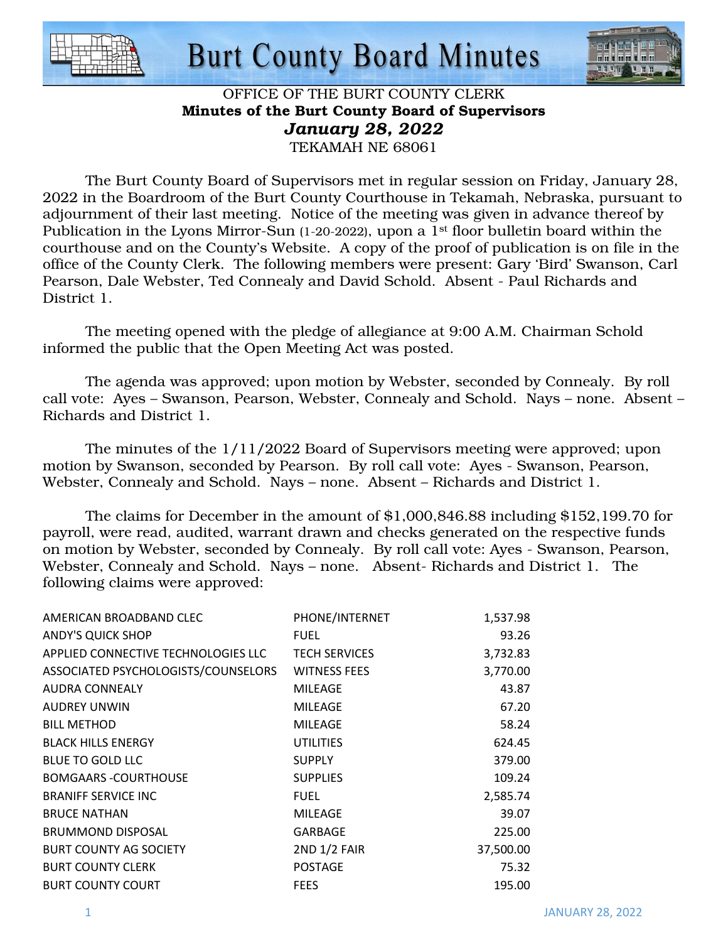



#### OFFICE OF THE BURT COUNTY CLERK Minutes of the Burt County Board of Supervisors *January 28, 2022*  TEKAMAH NE 68061

 The Burt County Board of Supervisors met in regular session on Friday, January 28, 2022 in the Boardroom of the Burt County Courthouse in Tekamah, Nebraska, pursuant to adjournment of their last meeting. Notice of the meeting was given in advance thereof by Publication in the Lyons Mirror-Sun (1-20-2022), upon a 1<sup>st</sup> floor bulletin board within the courthouse and on the County's Website. A copy of the proof of publication is on file in the office of the County Clerk. The following members were present: Gary 'Bird' Swanson, Carl Pearson, Dale Webster, Ted Connealy and David Schold. Absent - Paul Richards and District 1.

The meeting opened with the pledge of allegiance at 9:00 A.M. Chairman Schold informed the public that the Open Meeting Act was posted.

The agenda was approved; upon motion by Webster, seconded by Connealy. By roll call vote: Ayes – Swanson, Pearson, Webster, Connealy and Schold. Nays – none. Absent – Richards and District 1.

The minutes of the 1/11/2022 Board of Supervisors meeting were approved; upon motion by Swanson, seconded by Pearson. By roll call vote: Ayes - Swanson, Pearson, Webster, Connealy and Schold. Nays – none. Absent – Richards and District 1.

The claims for December in the amount of \$1,000,846.88 including \$152,199.70 for payroll, were read, audited, warrant drawn and checks generated on the respective funds on motion by Webster, seconded by Connealy. By roll call vote: Ayes - Swanson, Pearson, Webster, Connealy and Schold. Nays – none. Absent- Richards and District 1. The following claims were approved:

| AMERICAN BROADBAND CLEC             | PHONE/INTERNET       | 1,537.98  |
|-------------------------------------|----------------------|-----------|
| <b>ANDY'S QUICK SHOP</b>            | FUEL                 | 93.26     |
| APPLIED CONNECTIVE TECHNOLOGIES LLC | <b>TECH SERVICES</b> | 3,732.83  |
| ASSOCIATED PSYCHOLOGISTS/COUNSELORS | <b>WITNESS FEES</b>  | 3,770.00  |
| <b>AUDRA CONNEALY</b>               | <b>MILEAGE</b>       | 43.87     |
| <b>AUDREY UNWIN</b>                 | <b>MILEAGE</b>       | 67.20     |
| <b>BILL METHOD</b>                  | <b>MILEAGE</b>       | 58.24     |
| <b>BLACK HILLS ENERGY</b>           | <b>UTILITIES</b>     | 624.45    |
| <b>BLUE TO GOLD LLC</b>             | <b>SUPPLY</b>        | 379.00    |
| <b>BOMGAARS -COURTHOUSE</b>         | <b>SUPPLIES</b>      | 109.24    |
| <b>BRANIFF SERVICE INC</b>          | <b>FUEL</b>          | 2,585.74  |
| <b>BRUCE NATHAN</b>                 | <b>MILEAGE</b>       | 39.07     |
| <b>BRUMMOND DISPOSAL</b>            | <b>GARBAGE</b>       | 225.00    |
| <b>BURT COUNTY AG SOCIETY</b>       | <b>2ND 1/2 FAIR</b>  | 37,500.00 |
| <b>BURT COUNTY CLERK</b>            | <b>POSTAGE</b>       | 75.32     |
| <b>BURT COUNTY COURT</b>            | <b>FEES</b>          | 195.00    |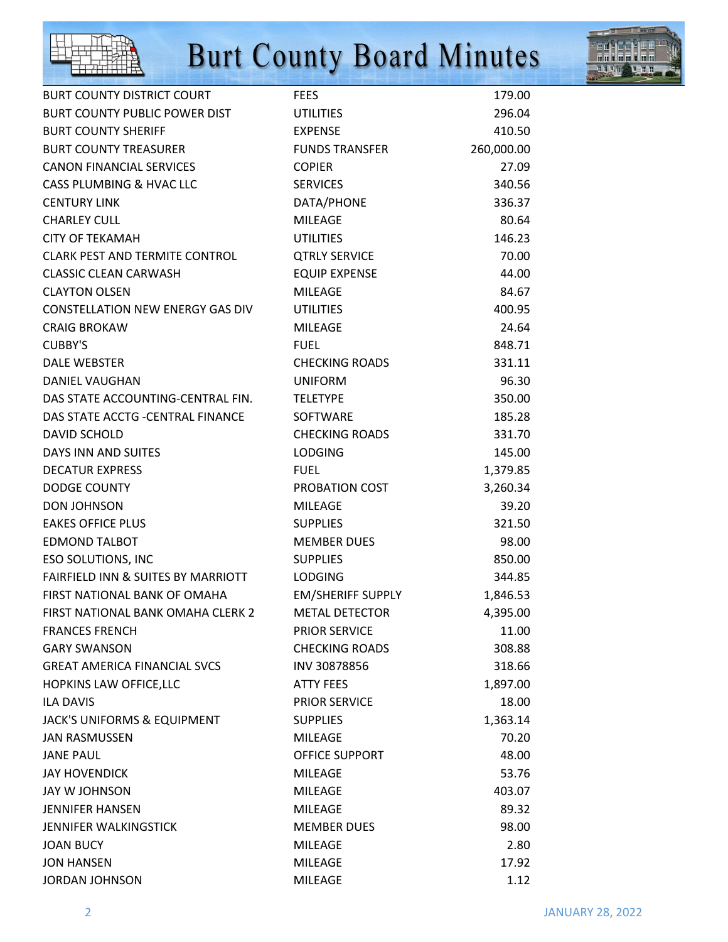



| <b>BURT COUNTY DISTRICT COURT</b>        | <b>FEES</b>              | 179.00     |
|------------------------------------------|--------------------------|------------|
| <b>BURT COUNTY PUBLIC POWER DIST</b>     | <b>UTILITIES</b>         | 296.04     |
| <b>BURT COUNTY SHERIFF</b>               | <b>EXPENSE</b>           | 410.50     |
| <b>BURT COUNTY TREASURER</b>             | <b>FUNDS TRANSFER</b>    | 260,000.00 |
| <b>CANON FINANCIAL SERVICES</b>          | <b>COPIER</b>            | 27.09      |
| CASS PLUMBING & HVAC LLC                 | <b>SERVICES</b>          | 340.56     |
| <b>CENTURY LINK</b>                      | DATA/PHONE               | 336.37     |
| <b>CHARLEY CULL</b>                      | <b>MILEAGE</b>           | 80.64      |
| <b>CITY OF TEKAMAH</b>                   | <b>UTILITIES</b>         | 146.23     |
| <b>CLARK PEST AND TERMITE CONTROL</b>    | <b>QTRLY SERVICE</b>     | 70.00      |
| <b>CLASSIC CLEAN CARWASH</b>             | <b>EQUIP EXPENSE</b>     | 44.00      |
| <b>CLAYTON OLSEN</b>                     | <b>MILEAGE</b>           | 84.67      |
| <b>CONSTELLATION NEW ENERGY GAS DIV</b>  | <b>UTILITIES</b>         | 400.95     |
| <b>CRAIG BROKAW</b>                      | <b>MILEAGE</b>           | 24.64      |
| <b>CUBBY'S</b>                           | <b>FUEL</b>              | 848.71     |
| <b>DALE WEBSTER</b>                      | <b>CHECKING ROADS</b>    | 331.11     |
| <b>DANIEL VAUGHAN</b>                    | <b>UNIFORM</b>           | 96.30      |
| DAS STATE ACCOUNTING-CENTRAL FIN.        | <b>TELETYPE</b>          | 350.00     |
| DAS STATE ACCTG - CENTRAL FINANCE        | SOFTWARE                 | 185.28     |
| <b>DAVID SCHOLD</b>                      | <b>CHECKING ROADS</b>    | 331.70     |
| DAYS INN AND SUITES                      | <b>LODGING</b>           | 145.00     |
| <b>DECATUR EXPRESS</b>                   | <b>FUEL</b>              | 1,379.85   |
| <b>DODGE COUNTY</b>                      | PROBATION COST           | 3,260.34   |
| <b>DON JOHNSON</b>                       | <b>MILEAGE</b>           | 39.20      |
| <b>EAKES OFFICE PLUS</b>                 | <b>SUPPLIES</b>          | 321.50     |
| <b>EDMOND TALBOT</b>                     | <b>MEMBER DUES</b>       | 98.00      |
| <b>ESO SOLUTIONS, INC</b>                | <b>SUPPLIES</b>          | 850.00     |
| FAIRFIELD INN & SUITES BY MARRIOTT       | <b>LODGING</b>           | 344.85     |
| FIRST NATIONAL BANK OF OMAHA             | <b>EM/SHERIFF SUPPLY</b> | 1,846.53   |
| <b>FIRST NATIONAL BANK OMAHA CLERK 2</b> | <b>METAL DETECTOR</b>    | 4,395.00   |
| <b>FRANCES FRENCH</b>                    | <b>PRIOR SERVICE</b>     | 11.00      |
| <b>GARY SWANSON</b>                      | <b>CHECKING ROADS</b>    | 308.88     |
| <b>GREAT AMERICA FINANCIAL SVCS</b>      | INV 30878856             | 318.66     |
| HOPKINS LAW OFFICE, LLC                  | <b>ATTY FEES</b>         | 1,897.00   |
| <b>ILA DAVIS</b>                         | <b>PRIOR SERVICE</b>     | 18.00      |
| JACK'S UNIFORMS & EQUIPMENT              | <b>SUPPLIES</b>          | 1,363.14   |
| <b>JAN RASMUSSEN</b>                     | <b>MILEAGE</b>           | 70.20      |
| <b>JANE PAUL</b>                         | <b>OFFICE SUPPORT</b>    | 48.00      |
| <b>JAY HOVENDICK</b>                     | <b>MILEAGE</b>           | 53.76      |
| JAY W JOHNSON                            | <b>MILEAGE</b>           | 403.07     |
| <b>JENNIFER HANSEN</b>                   | <b>MILEAGE</b>           | 89.32      |
| JENNIFER WALKINGSTICK                    | <b>MEMBER DUES</b>       | 98.00      |
| <b>JOAN BUCY</b>                         | <b>MILEAGE</b>           | 2.80       |
| <b>JON HANSEN</b>                        | <b>MILEAGE</b>           | 17.92      |
| <b>JORDAN JOHNSON</b>                    | <b>MILEAGE</b>           | 1.12       |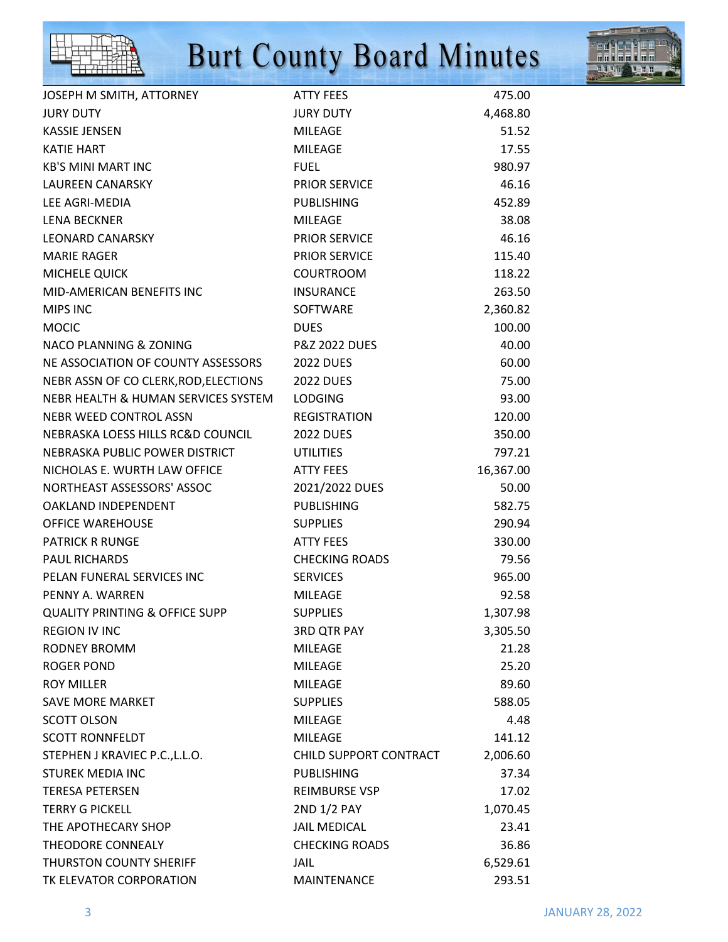



| JOSEPH M SMITH, ATTORNEY                  | <b>ATTY FEES</b>         | 475.00    |
|-------------------------------------------|--------------------------|-----------|
| <b>JURY DUTY</b>                          | <b>JURY DUTY</b>         | 4,468.80  |
| <b>KASSIE JENSEN</b>                      | <b>MILEAGE</b>           | 51.52     |
| <b>KATIE HART</b>                         | <b>MILEAGE</b>           | 17.55     |
| <b>KB'S MINI MART INC</b>                 | <b>FUEL</b>              | 980.97    |
| <b>LAUREEN CANARSKY</b>                   | <b>PRIOR SERVICE</b>     | 46.16     |
| LEE AGRI-MEDIA                            | <b>PUBLISHING</b>        | 452.89    |
| <b>LENA BECKNER</b>                       | <b>MILEAGE</b>           | 38.08     |
| <b>LEONARD CANARSKY</b>                   | <b>PRIOR SERVICE</b>     | 46.16     |
| <b>MARIE RAGER</b>                        | <b>PRIOR SERVICE</b>     | 115.40    |
| MICHELE QUICK                             | <b>COURTROOM</b>         | 118.22    |
| MID-AMERICAN BENEFITS INC                 | <b>INSURANCE</b>         | 263.50    |
| <b>MIPS INC</b>                           | <b>SOFTWARE</b>          | 2,360.82  |
| <b>MOCIC</b>                              | <b>DUES</b>              | 100.00    |
| <b>NACO PLANNING &amp; ZONING</b>         | <b>P&amp;Z 2022 DUES</b> | 40.00     |
| NE ASSOCIATION OF COUNTY ASSESSORS        | <b>2022 DUES</b>         | 60.00     |
| NEBR ASSN OF CO CLERK, ROD, ELECTIONS     | <b>2022 DUES</b>         | 75.00     |
| NEBR HEALTH & HUMAN SERVICES SYSTEM       | <b>LODGING</b>           | 93.00     |
| <b>NEBR WEED CONTROL ASSN</b>             | <b>REGISTRATION</b>      | 120.00    |
| NEBRASKA LOESS HILLS RC&D COUNCIL         | <b>2022 DUES</b>         | 350.00    |
| NEBRASKA PUBLIC POWER DISTRICT            | <b>UTILITIES</b>         | 797.21    |
| NICHOLAS E. WURTH LAW OFFICE              | <b>ATTY FEES</b>         | 16,367.00 |
| NORTHEAST ASSESSORS' ASSOC                | 2021/2022 DUES           | 50.00     |
| OAKLAND INDEPENDENT                       | <b>PUBLISHING</b>        | 582.75    |
| <b>OFFICE WAREHOUSE</b>                   | <b>SUPPLIES</b>          | 290.94    |
| <b>PATRICK R RUNGE</b>                    | <b>ATTY FEES</b>         | 330.00    |
| <b>PAUL RICHARDS</b>                      | <b>CHECKING ROADS</b>    | 79.56     |
| PELAN FUNERAL SERVICES INC                | <b>SERVICES</b>          | 965.00    |
| PENNY A. WARREN                           | <b>MILEAGE</b>           | 92.58     |
| <b>QUALITY PRINTING &amp; OFFICE SUPP</b> | <b>SUPPLIES</b>          | 1,307.98  |
| <b>REGION IV INC</b>                      | <b>3RD QTR PAY</b>       | 3,305.50  |
| <b>RODNEY BROMM</b>                       | <b>MILEAGE</b>           | 21.28     |
| ROGER POND                                | <b>MILEAGE</b>           | 25.20     |
| <b>ROY MILLER</b>                         | <b>MILEAGE</b>           | 89.60     |
| <b>SAVE MORE MARKET</b>                   | <b>SUPPLIES</b>          | 588.05    |
| <b>SCOTT OLSON</b>                        | <b>MILEAGE</b>           | 4.48      |
| <b>SCOTT RONNFELDT</b>                    | <b>MILEAGE</b>           | 141.12    |
| STEPHEN J KRAVIEC P.C., L.L.O.            | CHILD SUPPORT CONTRACT   | 2,006.60  |
| <b>STUREK MEDIA INC</b>                   | <b>PUBLISHING</b>        | 37.34     |
| <b>TERESA PETERSEN</b>                    | <b>REIMBURSE VSP</b>     | 17.02     |
| <b>TERRY G PICKELL</b>                    | 2ND 1/2 PAY              | 1,070.45  |
| THE APOTHECARY SHOP                       | <b>JAIL MEDICAL</b>      | 23.41     |
| THEODORE CONNEALY                         | <b>CHECKING ROADS</b>    | 36.86     |
| <b>THURSTON COUNTY SHERIFF</b>            | <b>JAIL</b>              | 6,529.61  |
| TK ELEVATOR CORPORATION                   | MAINTENANCE              | 293.51    |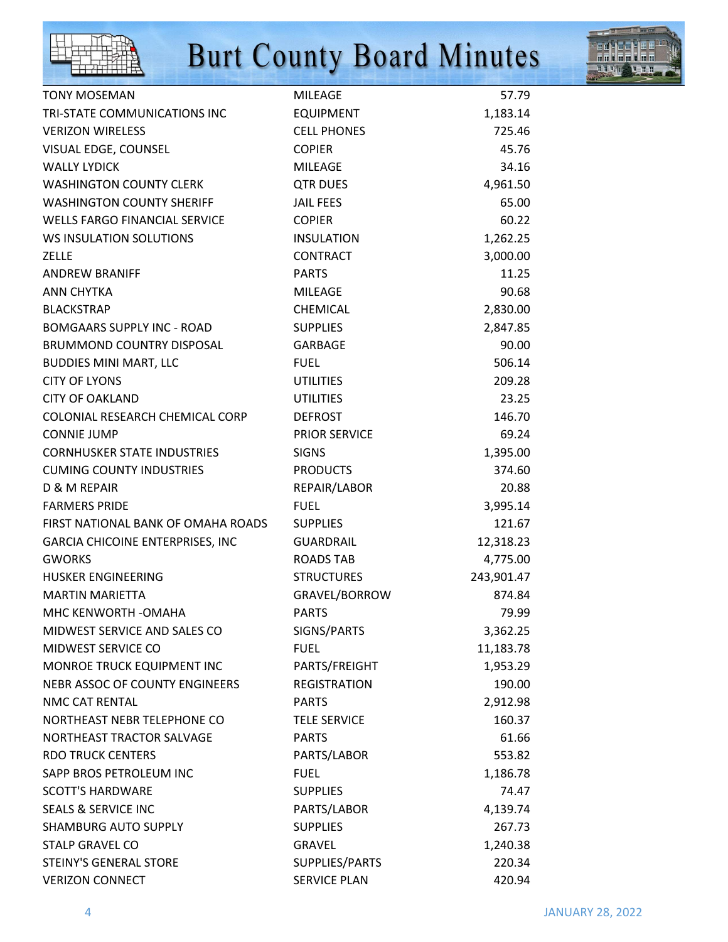



| <b>TONY MOSEMAN</b>                  | <b>MILEAGE</b>       | 57.79      |
|--------------------------------------|----------------------|------------|
| TRI-STATE COMMUNICATIONS INC         | <b>EQUIPMENT</b>     | 1,183.14   |
| <b>VERIZON WIRELESS</b>              | <b>CELL PHONES</b>   | 725.46     |
| VISUAL EDGE, COUNSEL                 | <b>COPIER</b>        | 45.76      |
| <b>WALLY LYDICK</b>                  | <b>MILEAGE</b>       | 34.16      |
| <b>WASHINGTON COUNTY CLERK</b>       | <b>QTR DUES</b>      | 4,961.50   |
| <b>WASHINGTON COUNTY SHERIFF</b>     | <b>JAIL FEES</b>     | 65.00      |
| <b>WELLS FARGO FINANCIAL SERVICE</b> | <b>COPIER</b>        | 60.22      |
| WS INSULATION SOLUTIONS              | <b>INSULATION</b>    | 1,262.25   |
| <b>ZELLE</b>                         | <b>CONTRACT</b>      | 3,000.00   |
| <b>ANDREW BRANIFF</b>                | <b>PARTS</b>         | 11.25      |
| <b>ANN CHYTKA</b>                    | <b>MILEAGE</b>       | 90.68      |
| <b>BLACKSTRAP</b>                    | <b>CHEMICAL</b>      | 2,830.00   |
| <b>BOMGAARS SUPPLY INC - ROAD</b>    | <b>SUPPLIES</b>      | 2,847.85   |
| <b>BRUMMOND COUNTRY DISPOSAL</b>     | <b>GARBAGE</b>       | 90.00      |
| <b>BUDDIES MINI MART, LLC</b>        | <b>FUEL</b>          | 506.14     |
| <b>CITY OF LYONS</b>                 | <b>UTILITIES</b>     | 209.28     |
| <b>CITY OF OAKLAND</b>               | <b>UTILITIES</b>     | 23.25      |
| COLONIAL RESEARCH CHEMICAL CORP      | <b>DEFROST</b>       | 146.70     |
| <b>CONNIE JUMP</b>                   | <b>PRIOR SERVICE</b> | 69.24      |
| <b>CORNHUSKER STATE INDUSTRIES</b>   | <b>SIGNS</b>         | 1,395.00   |
| <b>CUMING COUNTY INDUSTRIES</b>      | <b>PRODUCTS</b>      | 374.60     |
| D & M REPAIR                         | REPAIR/LABOR         | 20.88      |
| <b>FARMERS PRIDE</b>                 | <b>FUEL</b>          | 3,995.14   |
| FIRST NATIONAL BANK OF OMAHA ROADS   | <b>SUPPLIES</b>      | 121.67     |
| GARCIA CHICOINE ENTERPRISES, INC     | <b>GUARDRAIL</b>     | 12,318.23  |
| <b>GWORKS</b>                        | <b>ROADS TAB</b>     | 4,775.00   |
| HUSKER ENGINEERING                   | <b>STRUCTURES</b>    | 243,901.47 |
| <b>MARTIN MARIETTA</b>               | GRAVEL/BORROW        | 874.84     |
| MHC KENWORTH - OMAHA                 | <b>PARTS</b>         | 79.99      |
| MIDWEST SERVICE AND SALES CO         | SIGNS/PARTS          | 3,362.25   |
| MIDWEST SERVICE CO                   | <b>FUEL</b>          | 11,183.78  |
| MONROE TRUCK EQUIPMENT INC           | PARTS/FREIGHT        | 1,953.29   |
| NEBR ASSOC OF COUNTY ENGINEERS       | <b>REGISTRATION</b>  | 190.00     |
| NMC CAT RENTAL                       | <b>PARTS</b>         | 2,912.98   |
| NORTHEAST NEBR TELEPHONE CO          | <b>TELE SERVICE</b>  | 160.37     |
| NORTHEAST TRACTOR SALVAGE            | <b>PARTS</b>         | 61.66      |
| <b>RDO TRUCK CENTERS</b>             | PARTS/LABOR          | 553.82     |
| SAPP BROS PETROLEUM INC              | <b>FUEL</b>          | 1,186.78   |
| <b>SCOTT'S HARDWARE</b>              | <b>SUPPLIES</b>      | 74.47      |
| <b>SEALS &amp; SERVICE INC</b>       | PARTS/LABOR          | 4,139.74   |
| <b>SHAMBURG AUTO SUPPLY</b>          | <b>SUPPLIES</b>      | 267.73     |
| <b>STALP GRAVEL CO</b>               | <b>GRAVEL</b>        | 1,240.38   |
| STEINY'S GENERAL STORE               | SUPPLIES/PARTS       | 220.34     |
| <b>VERIZON CONNECT</b>               | <b>SERVICE PLAN</b>  | 420.94     |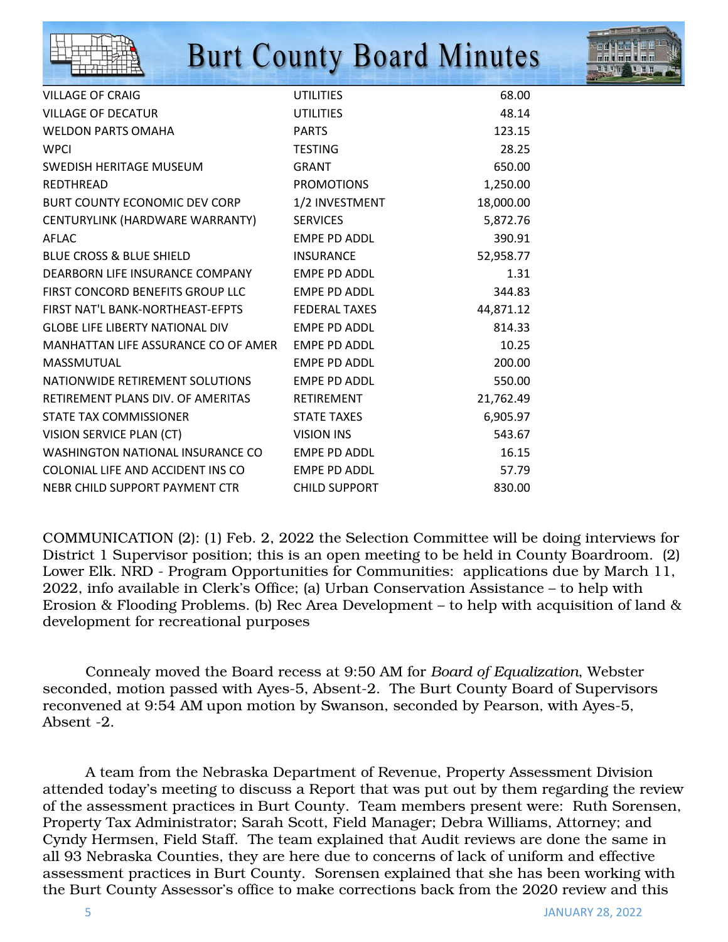

| <b>VILLAGE OF CRAIG</b>                | <b>UTILITIES</b>     | 68.00     |
|----------------------------------------|----------------------|-----------|
| <b>VILLAGE OF DECATUR</b>              | <b>UTILITIES</b>     | 48.14     |
| <b>WELDON PARTS OMAHA</b>              | <b>PARTS</b>         | 123.15    |
| <b>WPCI</b>                            | <b>TESTING</b>       | 28.25     |
| SWEDISH HERITAGE MUSEUM                | <b>GRANT</b>         | 650.00    |
| <b>REDTHREAD</b>                       | <b>PROMOTIONS</b>    | 1,250.00  |
| BURT COUNTY ECONOMIC DEV CORP          | 1/2 INVESTMENT       | 18,000.00 |
| CENTURYLINK (HARDWARE WARRANTY)        | <b>SERVICES</b>      | 5,872.76  |
| <b>AFLAC</b>                           | EMPE PD ADDL         | 390.91    |
| <b>BLUE CROSS &amp; BLUE SHIELD</b>    | <b>INSURANCE</b>     | 52,958.77 |
| DEARBORN LIFE INSURANCE COMPANY        | EMPE PD ADDL         | 1.31      |
| FIRST CONCORD BENEFITS GROUP LLC       | <b>EMPE PD ADDL</b>  | 344.83    |
| FIRST NAT'L BANK-NORTHEAST-EFPTS       | <b>FEDERAL TAXES</b> | 44,871.12 |
| <b>GLOBE LIFE LIBERTY NATIONAL DIV</b> | <b>EMPE PD ADDL</b>  | 814.33    |
| MANHATTAN LIFE ASSURANCE CO OF AMER    | <b>EMPE PD ADDL</b>  | 10.25     |
| MASSMUTUAL                             | <b>EMPE PD ADDL</b>  | 200.00    |
| NATIONWIDE RETIREMENT SOLUTIONS        | <b>EMPE PD ADDL</b>  | 550.00    |
| RETIREMENT PLANS DIV. OF AMERITAS      | RETIREMENT           | 21,762.49 |
| STATE TAX COMMISSIONER                 | <b>STATE TAXES</b>   | 6,905.97  |
| VISION SERVICE PLAN (CT)               | <b>VISION INS</b>    | 543.67    |
| WASHINGTON NATIONAL INSURANCE CO       | EMPE PD ADDL         | 16.15     |
| COLONIAL LIFE AND ACCIDENT INS CO      | EMPE PD ADDL         | 57.79     |
| NEBR CHILD SUPPORT PAYMENT CTR         | <b>CHILD SUPPORT</b> | 830.00    |

COMMUNICATION (2): (1) Feb. 2, 2022 the Selection Committee will be doing interviews for District 1 Supervisor position; this is an open meeting to be held in County Boardroom. (2) Lower Elk. NRD - Program Opportunities for Communities: applications due by March 11, 2022, info available in Clerk's Office; (a) Urban Conservation Assistance – to help with Erosion & Flooding Problems. (b) Rec Area Development – to help with acquisition of land & development for recreational purposes

 Connealy moved the Board recess at 9:50 AM for *Board of Equalization*, Webster seconded, motion passed with Ayes-5, Absent-2. The Burt County Board of Supervisors reconvened at 9:54 AM upon motion by Swanson, seconded by Pearson, with Ayes-5, Absent -2.

 A team from the Nebraska Department of Revenue, Property Assessment Division attended today's meeting to discuss a Report that was put out by them regarding the review of the assessment practices in Burt County. Team members present were: Ruth Sorensen, Property Tax Administrator; Sarah Scott, Field Manager; Debra Williams, Attorney; and Cyndy Hermsen, Field Staff. The team explained that Audit reviews are done the same in all 93 Nebraska Counties, they are here due to concerns of lack of uniform and effective assessment practices in Burt County. Sorensen explained that she has been working with the Burt County Assessor's office to make corrections back from the 2020 review and this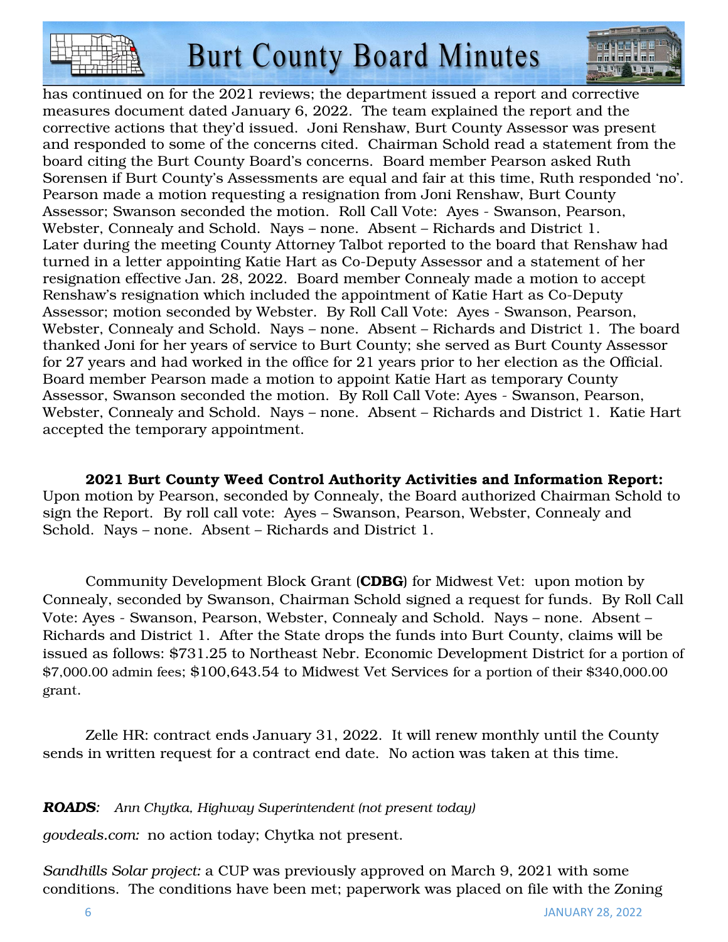

has continued on for the 2021 reviews; the department issued a report and corrective measures document dated January 6, 2022. The team explained the report and the corrective actions that they'd issued. Joni Renshaw, Burt County Assessor was present and responded to some of the concerns cited. Chairman Schold read a statement from the board citing the Burt County Board's concerns. Board member Pearson asked Ruth Sorensen if Burt County's Assessments are equal and fair at this time, Ruth responded 'no'. Pearson made a motion requesting a resignation from Joni Renshaw, Burt County Assessor; Swanson seconded the motion. Roll Call Vote: Ayes - Swanson, Pearson, Webster, Connealy and Schold. Nays – none. Absent – Richards and District 1. Later during the meeting County Attorney Talbot reported to the board that Renshaw had turned in a letter appointing Katie Hart as Co-Deputy Assessor and a statement of her resignation effective Jan. 28, 2022. Board member Connealy made a motion to accept Renshaw's resignation which included the appointment of Katie Hart as Co-Deputy Assessor; motion seconded by Webster. By Roll Call Vote: Ayes - Swanson, Pearson, Webster, Connealy and Schold. Nays – none. Absent – Richards and District 1. The board thanked Joni for her years of service to Burt County; she served as Burt County Assessor for 27 years and had worked in the office for 21 years prior to her election as the Official. Board member Pearson made a motion to appoint Katie Hart as temporary County Assessor, Swanson seconded the motion. By Roll Call Vote: Ayes - Swanson, Pearson, Webster, Connealy and Schold. Nays – none. Absent – Richards and District 1. Katie Hart accepted the temporary appointment.

2021 Burt County Weed Control Authority Activities and Information Report: Upon motion by Pearson, seconded by Connealy, the Board authorized Chairman Schold to sign the Report. By roll call vote: Ayes – Swanson, Pearson, Webster, Connealy and Schold. Nays – none. Absent – Richards and District 1.

Community Development Block Grant (**CDBG**) for Midwest Vet: upon motion by Connealy, seconded by Swanson, Chairman Schold signed a request for funds. By Roll Call Vote: Ayes - Swanson, Pearson, Webster, Connealy and Schold. Nays – none. Absent – Richards and District 1. After the State drops the funds into Burt County, claims will be issued as follows: \$731.25 to Northeast Nebr. Economic Development District for a portion of \$7,000.00 admin fees; \$100,643.54 to Midwest Vet Services for a portion of their \$340,000.00 grant.

 Zelle HR: contract ends January 31, 2022. It will renew monthly until the County sends in written request for a contract end date. No action was taken at this time.

*ROADS: Ann Chytka, Highway Superintendent (not present today)* 

*govdeals.com:* no action today; Chytka not present.

*Sandhills Solar project:* a CUP was previously approved on March 9, 2021 with some conditions. The conditions have been met; paperwork was placed on file with the Zoning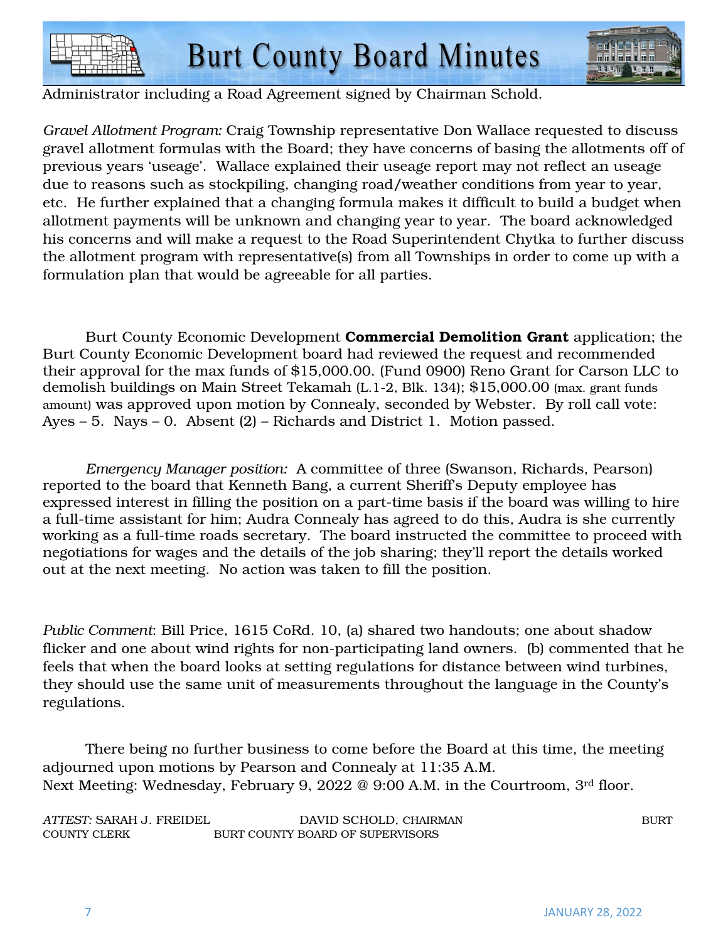



Administrator including a Road Agreement signed by Chairman Schold.

*Gravel Allotment Program:* Craig Township representative Don Wallace requested to discuss gravel allotment formulas with the Board; they have concerns of basing the allotments off of previous years 'useage'. Wallace explained their useage report may not reflect an useage due to reasons such as stockpiling, changing road/weather conditions from year to year, etc. He further explained that a changing formula makes it difficult to build a budget when allotment payments will be unknown and changing year to year. The board acknowledged his concerns and will make a request to the Road Superintendent Chytka to further discuss the allotment program with representative(s) from all Townships in order to come up with a formulation plan that would be agreeable for all parties.

Burt County Economic Development Commercial Demolition Grant application; the Burt County Economic Development board had reviewed the request and recommended their approval for the max funds of \$15,000.00. (Fund 0900) Reno Grant for Carson LLC to demolish buildings on Main Street Tekamah (L.1-2, Blk. 134); \$15,000.00 (max. grant funds amount) was approved upon motion by Connealy, seconded by Webster. By roll call vote: Ayes – 5. Nays – 0. Absent (2) – Richards and District 1. Motion passed.

*Emergency Manager position:* A committee of three (Swanson, Richards, Pearson) reported to the board that Kenneth Bang, a current Sheriff's Deputy employee has expressed interest in filling the position on a part-time basis if the board was willing to hire a full-time assistant for him; Audra Connealy has agreed to do this, Audra is she currently working as a full-time roads secretary. The board instructed the committee to proceed with negotiations for wages and the details of the job sharing; they'll report the details worked out at the next meeting. No action was taken to fill the position.

*Public Comment*: Bill Price, 1615 CoRd. 10, (a) shared two handouts; one about shadow flicker and one about wind rights for non-participating land owners. (b) commented that he feels that when the board looks at setting regulations for distance between wind turbines, they should use the same unit of measurements throughout the language in the County's regulations.

 There being no further business to come before the Board at this time, the meeting adjourned upon motions by Pearson and Connealy at 11:35 A.M. Next Meeting: Wednesday, February 9, 2022 @ 9:00 A.M. in the Courtroom, 3rd floor.

| ATTEST: SARAH J. FREIDEL | DAVID SCHOLD, CHAIRMAN           | <b>BURT</b> |
|--------------------------|----------------------------------|-------------|
| <b>COUNTY CLERK</b>      | BURT COUNTY BOARD OF SUPERVISORS |             |